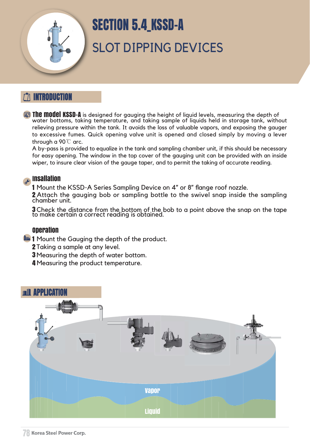



# SLOT DIPPING DEVICES SECTION 5.4\_KSSD-A

## INTRODUCTION

**The model KSSD-A** is designed for gauging the height of liquid levels, measuring the depth of water bottoms, taking temperature, and taking sample of liquids held in storage tank, without relieving pressure within the tank. It avoids the loss of valuable vapors, and exposing the gauger to excessive fumes. Quick opening valve unit is opened and closed simply by moving a lever through a 90℃ arc.

**2** Attach the gauging bob or sampling bottle to the swivel snap inside the sampling chamber unit.

 $\bf{3}$  Check the distance from the bottom of the bob to a point above the snap on the tape to make certain a correct reading is obtained.

#### **Operation**

**FILMPPLIC** 

A by-pass is provided to equalize in the tank and sampling chamber unit, if this should be necessary for easy opening. The window in the top cover of the gauging unit can be provided with an inside wiper, to insure clear vision of the gauge taper, and to permit the taking of accurate reading.

## Insallation

1 Mount the KSSD-A Series Sampling Device on 4" or 8" flange roof nozzle.



ATION

**14 1 Mount the Gauging the depth of the product.** 

2 Taking a sample at any level.

**3 Measuring the depth of water bottom.** 

**4 Measuring the product temperature.**